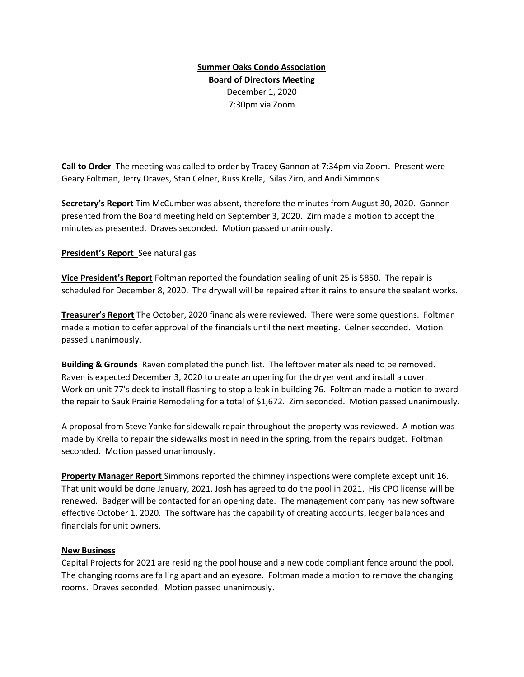## Summer Oaks Condo Association Board of Directors Meeting December 1, 2020 7:30pm via Zoom

Call to Order The meeting was called to order by Tracey Gannon at 7:34pm via Zoom. Present were Geary Foltman, Jerry Draves, Stan Celner, Russ Krella, Silas Zirn, and Andi Simmons.

Secretary's Report Tim McCumber was absent, therefore the minutes from August 30, 2020. Gannon presented from the Board meeting held on September 3, 2020. Zirn made a motion to accept the minutes as presented. Draves seconded. Motion passed unanimously.

## **President's Report** See natural gas

Vice President's Report Foltman reported the foundation sealing of unit 25 is \$850. The repair is scheduled for December 8, 2020. The drywall will be repaired after it rains to ensure the sealant works.

**Treasurer's Report** The October, 2020 financials were reviewed. There were some questions. Foltman made a motion to defer approval of the financials until the next meeting. Celner seconded. Motion passed unanimously.

Building & Grounds Raven completed the punch list. The leftover materials need to be removed. Raven is expected December 3, 2020 to create an opening for the dryer vent and install a cover. Work on unit 77's deck to install flashing to stop a leak in building 76. Foltman made a motion to award the repair to Sauk Prairie Remodeling for a total of \$1,672. Zirn seconded. Motion passed unanimously.

A proposal from Steve Yanke for sidewalk repair throughout the property was reviewed. A motion was made by Krella to repair the sidewalks most in need in the spring, from the repairs budget. Foltman seconded. Motion passed unanimously.

Property Manager Report Simmons reported the chimney inspections were complete except unit 16. That unit would be done January, 2021. Josh has agreed to do the pool in 2021. His CPO license will be renewed. Badger will be contacted for an opening date. The management company has new software effective October 1, 2020. The software has the capability of creating accounts, ledger balances and financials for unit owners.

## New Business

Capital Projects for 2021 are residing the pool house and a new code compliant fence around the pool. The changing rooms are falling apart and an eyesore. Foltman made a motion to remove the changing rooms. Draves seconded. Motion passed unanimously.